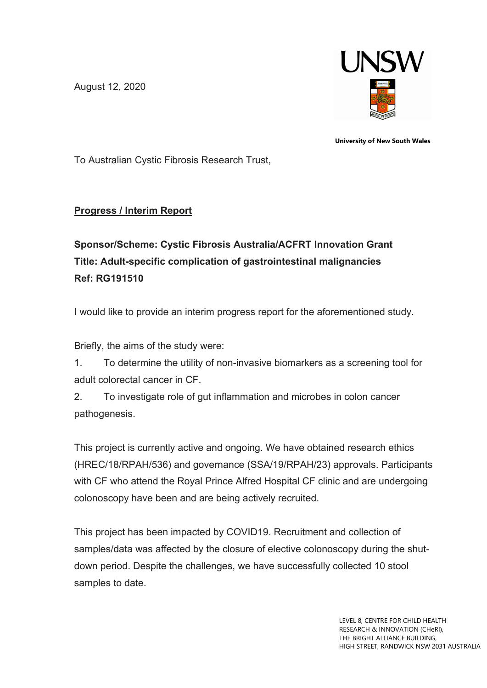August 12, 2020



**University of New South Wales**

To Australian Cystic Fibrosis Research Trust,

## **Progress / Interim Report**

## **Sponsor/Scheme: Cystic Fibrosis Australia/ACFRT Innovation Grant Title: Adult-specific complication of gastrointestinal malignancies Ref: RG191510**

I would like to provide an interim progress report for the aforementioned study.

Briefly, the aims of the study were:

1. To determine the utility of non-invasive biomarkers as a screening tool for adult colorectal cancer in CF.

2. To investigate role of gut inflammation and microbes in colon cancer pathogenesis.

This project is currently active and ongoing. We have obtained research ethics (HREC/18/RPAH/536) and governance (SSA/19/RPAH/23) approvals. Participants with CF who attend the Royal Prince Alfred Hospital CF clinic and are undergoing colonoscopy have been and are being actively recruited.

This project has been impacted by COVID19. Recruitment and collection of samples/data was affected by the closure of elective colonoscopy during the shutdown period. Despite the challenges, we have successfully collected 10 stool samples to date.